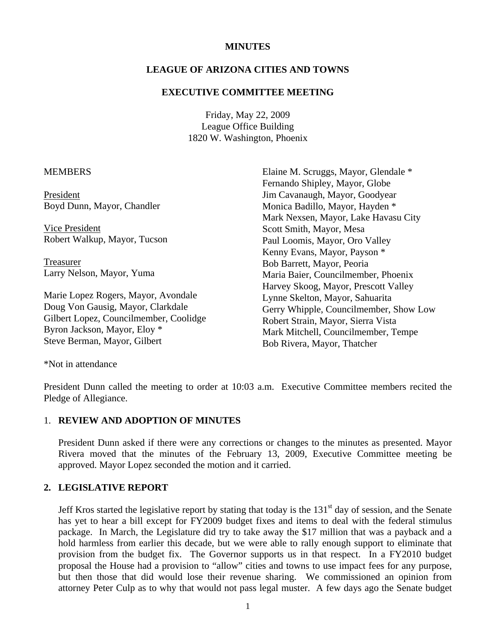### **MINUTES**

### **LEAGUE OF ARIZONA CITIES AND TOWNS**

#### **EXECUTIVE COMMITTEE MEETING**

Friday, May 22, 2009 League Office Building 1820 W. Washington, Phoenix

#### **MEMBERS**

President Boyd Dunn, Mayor, Chandler

 Vice President Robert Walkup, Mayor, Tucson

 Treasurer Larry Nelson, Mayor, Yuma

Marie Lopez Rogers, Mayor, Avondale Doug Von Gausig, Mayor, Clarkdale Gilbert Lopez, Councilmember, Coolidge Byron Jackson, Mayor, Eloy \* Steve Berman, Mayor, Gilbert

Elaine M. Scruggs, Mayor, Glendale \* Fernando Shipley, Mayor, Globe Jim Cavanaugh, Mayor, Goodyear Monica Badillo, Mayor, Hayden \* Mark Nexsen, Mayor, Lake Havasu City Scott Smith, Mayor, Mesa Paul Loomis, Mayor, Oro Valley Kenny Evans, Mayor, Payson \* Bob Barrett, Mayor, Peoria Maria Baier, Councilmember, Phoenix Harvey Skoog, Mayor, Prescott Valley Lynne Skelton, Mayor, Sahuarita Gerry Whipple, Councilmember, Show Low Robert Strain, Mayor, Sierra Vista Mark Mitchell, Councilmember, Tempe Bob Rivera, Mayor, Thatcher

\*Not in attendance

President Dunn called the meeting to order at 10:03 a.m. Executive Committee members recited the Pledge of Allegiance.

### 1. **REVIEW AND ADOPTION OF MINUTES**

President Dunn asked if there were any corrections or changes to the minutes as presented. Mayor Rivera moved that the minutes of the February 13, 2009, Executive Committee meeting be approved. Mayor Lopez seconded the motion and it carried.

#### **2. LEGISLATIVE REPORT**

Jeff Kros started the legislative report by stating that today is the  $131<sup>st</sup>$  day of session, and the Senate has yet to hear a bill except for FY2009 budget fixes and items to deal with the federal stimulus package. In March, the Legislature did try to take away the \$17 million that was a payback and a hold harmless from earlier this decade, but we were able to rally enough support to eliminate that provision from the budget fix. The Governor supports us in that respect. In a FY2010 budget proposal the House had a provision to "allow" cities and towns to use impact fees for any purpose, but then those that did would lose their revenue sharing. We commissioned an opinion from attorney Peter Culp as to why that would not pass legal muster. A few days ago the Senate budget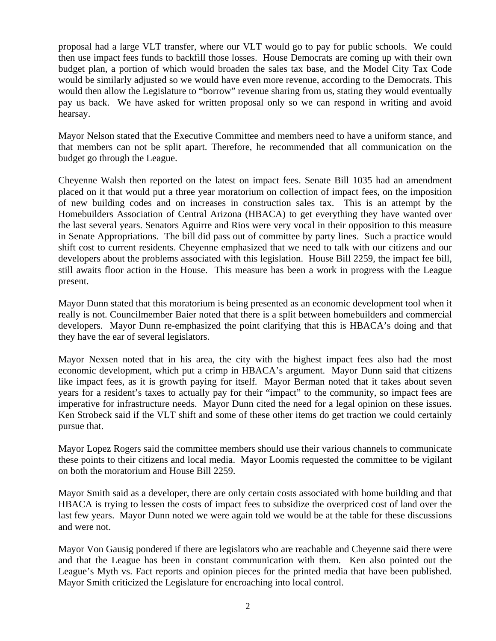proposal had a large VLT transfer, where our VLT would go to pay for public schools. We could then use impact fees funds to backfill those losses. House Democrats are coming up with their own budget plan, a portion of which would broaden the sales tax base, and the Model City Tax Code would be similarly adjusted so we would have even more revenue, according to the Democrats. This would then allow the Legislature to "borrow" revenue sharing from us, stating they would eventually pay us back. We have asked for written proposal only so we can respond in writing and avoid hearsay.

Mayor Nelson stated that the Executive Committee and members need to have a uniform stance, and that members can not be split apart. Therefore, he recommended that all communication on the budget go through the League.

Cheyenne Walsh then reported on the latest on impact fees. Senate Bill 1035 had an amendment placed on it that would put a three year moratorium on collection of impact fees, on the imposition of new building codes and on increases in construction sales tax. This is an attempt by the Homebuilders Association of Central Arizona (HBACA) to get everything they have wanted over the last several years. Senators Aguirre and Rios were very vocal in their opposition to this measure in Senate Appropriations. The bill did pass out of committee by party lines. Such a practice would shift cost to current residents. Cheyenne emphasized that we need to talk with our citizens and our developers about the problems associated with this legislation. House Bill 2259, the impact fee bill, still awaits floor action in the House. This measure has been a work in progress with the League present.

Mayor Dunn stated that this moratorium is being presented as an economic development tool when it really is not. Councilmember Baier noted that there is a split between homebuilders and commercial developers. Mayor Dunn re-emphasized the point clarifying that this is HBACA's doing and that they have the ear of several legislators.

Mayor Nexsen noted that in his area, the city with the highest impact fees also had the most economic development, which put a crimp in HBACA's argument. Mayor Dunn said that citizens like impact fees, as it is growth paying for itself. Mayor Berman noted that it takes about seven years for a resident's taxes to actually pay for their "impact" to the community, so impact fees are imperative for infrastructure needs. Mayor Dunn cited the need for a legal opinion on these issues. Ken Strobeck said if the VLT shift and some of these other items do get traction we could certainly pursue that.

Mayor Lopez Rogers said the committee members should use their various channels to communicate these points to their citizens and local media. Mayor Loomis requested the committee to be vigilant on both the moratorium and House Bill 2259.

Mayor Smith said as a developer, there are only certain costs associated with home building and that HBACA is trying to lessen the costs of impact fees to subsidize the overpriced cost of land over the last few years. Mayor Dunn noted we were again told we would be at the table for these discussions and were not.

Mayor Von Gausig pondered if there are legislators who are reachable and Cheyenne said there were and that the League has been in constant communication with them. Ken also pointed out the League's Myth vs. Fact reports and opinion pieces for the printed media that have been published. Mayor Smith criticized the Legislature for encroaching into local control.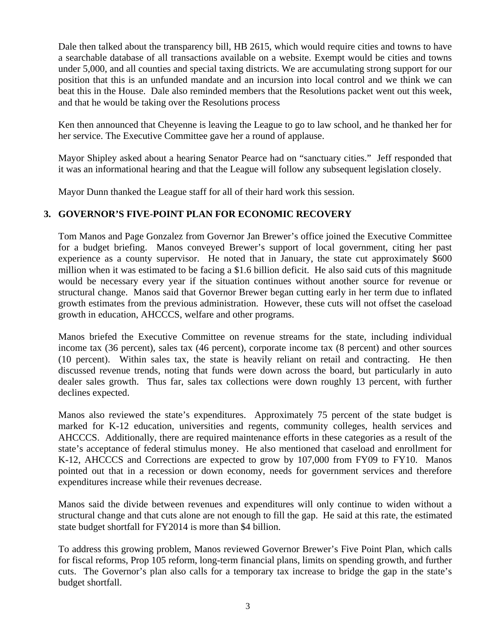Dale then talked about the transparency bill, HB 2615, which would require cities and towns to have a searchable database of all transactions available on a website. Exempt would be cities and towns under 5,000, and all counties and special taxing districts. We are accumulating strong support for our position that this is an unfunded mandate and an incursion into local control and we think we can beat this in the House. Dale also reminded members that the Resolutions packet went out this week, and that he would be taking over the Resolutions process

Ken then announced that Cheyenne is leaving the League to go to law school, and he thanked her for her service. The Executive Committee gave her a round of applause.

Mayor Shipley asked about a hearing Senator Pearce had on "sanctuary cities." Jeff responded that it was an informational hearing and that the League will follow any subsequent legislation closely.

Mayor Dunn thanked the League staff for all of their hard work this session.

## **3. GOVERNOR'S FIVE-POINT PLAN FOR ECONOMIC RECOVERY**

Tom Manos and Page Gonzalez from Governor Jan Brewer's office joined the Executive Committee for a budget briefing. Manos conveyed Brewer's support of local government, citing her past experience as a county supervisor. He noted that in January, the state cut approximately \$600 million when it was estimated to be facing a \$1.6 billion deficit. He also said cuts of this magnitude would be necessary every year if the situation continues without another source for revenue or structural change. Manos said that Governor Brewer began cutting early in her term due to inflated growth estimates from the previous administration. However, these cuts will not offset the caseload growth in education, AHCCCS, welfare and other programs.

Manos briefed the Executive Committee on revenue streams for the state, including individual income tax (36 percent), sales tax (46 percent), corporate income tax (8 percent) and other sources (10 percent). Within sales tax, the state is heavily reliant on retail and contracting. He then discussed revenue trends, noting that funds were down across the board, but particularly in auto dealer sales growth. Thus far, sales tax collections were down roughly 13 percent, with further declines expected.

Manos also reviewed the state's expenditures. Approximately 75 percent of the state budget is marked for K-12 education, universities and regents, community colleges, health services and AHCCCS. Additionally, there are required maintenance efforts in these categories as a result of the state's acceptance of federal stimulus money. He also mentioned that caseload and enrollment for K-12, AHCCCS and Corrections are expected to grow by 107,000 from FY09 to FY10. Manos pointed out that in a recession or down economy, needs for government services and therefore expenditures increase while their revenues decrease.

Manos said the divide between revenues and expenditures will only continue to widen without a structural change and that cuts alone are not enough to fill the gap. He said at this rate, the estimated state budget shortfall for FY2014 is more than \$4 billion.

To address this growing problem, Manos reviewed Governor Brewer's Five Point Plan, which calls for fiscal reforms, Prop 105 reform, long-term financial plans, limits on spending growth, and further cuts. The Governor's plan also calls for a temporary tax increase to bridge the gap in the state's budget shortfall.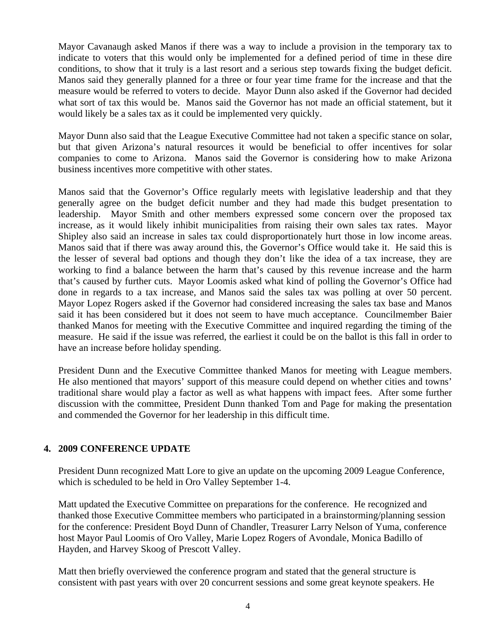Mayor Cavanaugh asked Manos if there was a way to include a provision in the temporary tax to indicate to voters that this would only be implemented for a defined period of time in these dire conditions, to show that it truly is a last resort and a serious step towards fixing the budget deficit. Manos said they generally planned for a three or four year time frame for the increase and that the measure would be referred to voters to decide. Mayor Dunn also asked if the Governor had decided what sort of tax this would be. Manos said the Governor has not made an official statement, but it would likely be a sales tax as it could be implemented very quickly.

Mayor Dunn also said that the League Executive Committee had not taken a specific stance on solar, but that given Arizona's natural resources it would be beneficial to offer incentives for solar companies to come to Arizona. Manos said the Governor is considering how to make Arizona business incentives more competitive with other states.

Manos said that the Governor's Office regularly meets with legislative leadership and that they generally agree on the budget deficit number and they had made this budget presentation to leadership. Mayor Smith and other members expressed some concern over the proposed tax increase, as it would likely inhibit municipalities from raising their own sales tax rates. Mayor Shipley also said an increase in sales tax could disproportionately hurt those in low income areas. Manos said that if there was away around this, the Governor's Office would take it. He said this is the lesser of several bad options and though they don't like the idea of a tax increase, they are working to find a balance between the harm that's caused by this revenue increase and the harm that's caused by further cuts. Mayor Loomis asked what kind of polling the Governor's Office had done in regards to a tax increase, and Manos said the sales tax was polling at over 50 percent. Mayor Lopez Rogers asked if the Governor had considered increasing the sales tax base and Manos said it has been considered but it does not seem to have much acceptance. Councilmember Baier thanked Manos for meeting with the Executive Committee and inquired regarding the timing of the measure. He said if the issue was referred, the earliest it could be on the ballot is this fall in order to have an increase before holiday spending.

President Dunn and the Executive Committee thanked Manos for meeting with League members. He also mentioned that mayors' support of this measure could depend on whether cities and towns' traditional share would play a factor as well as what happens with impact fees. After some further discussion with the committee, President Dunn thanked Tom and Page for making the presentation and commended the Governor for her leadership in this difficult time.

## **4. 2009 CONFERENCE UPDATE**

President Dunn recognized Matt Lore to give an update on the upcoming 2009 League Conference, which is scheduled to be held in Oro Valley September 1-4.

Matt updated the Executive Committee on preparations for the conference. He recognized and thanked those Executive Committee members who participated in a brainstorming/planning session for the conference: President Boyd Dunn of Chandler, Treasurer Larry Nelson of Yuma, conference host Mayor Paul Loomis of Oro Valley, Marie Lopez Rogers of Avondale, Monica Badillo of Hayden, and Harvey Skoog of Prescott Valley.

Matt then briefly overviewed the conference program and stated that the general structure is consistent with past years with over 20 concurrent sessions and some great keynote speakers. He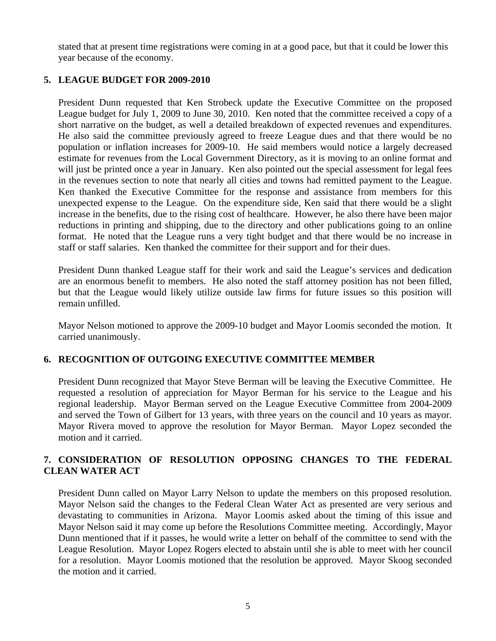stated that at present time registrations were coming in at a good pace, but that it could be lower this year because of the economy.

# **5. LEAGUE BUDGET FOR 2009-2010**

President Dunn requested that Ken Strobeck update the Executive Committee on the proposed League budget for July 1, 2009 to June 30, 2010. Ken noted that the committee received a copy of a short narrative on the budget, as well a detailed breakdown of expected revenues and expenditures. He also said the committee previously agreed to freeze League dues and that there would be no population or inflation increases for 2009-10. He said members would notice a largely decreased estimate for revenues from the Local Government Directory, as it is moving to an online format and will just be printed once a year in January. Ken also pointed out the special assessment for legal fees in the revenues section to note that nearly all cities and towns had remitted payment to the League. Ken thanked the Executive Committee for the response and assistance from members for this unexpected expense to the League. On the expenditure side, Ken said that there would be a slight increase in the benefits, due to the rising cost of healthcare. However, he also there have been major reductions in printing and shipping, due to the directory and other publications going to an online format. He noted that the League runs a very tight budget and that there would be no increase in staff or staff salaries. Ken thanked the committee for their support and for their dues.

President Dunn thanked League staff for their work and said the League's services and dedication are an enormous benefit to members. He also noted the staff attorney position has not been filled, but that the League would likely utilize outside law firms for future issues so this position will remain unfilled.

Mayor Nelson motioned to approve the 2009-10 budget and Mayor Loomis seconded the motion. It carried unanimously.

## **6. RECOGNITION OF OUTGOING EXECUTIVE COMMITTEE MEMBER**

President Dunn recognized that Mayor Steve Berman will be leaving the Executive Committee. He requested a resolution of appreciation for Mayor Berman for his service to the League and his regional leadership. Mayor Berman served on the League Executive Committee from 2004-2009 and served the Town of Gilbert for 13 years, with three years on the council and 10 years as mayor. Mayor Rivera moved to approve the resolution for Mayor Berman. Mayor Lopez seconded the motion and it carried.

## **7. CONSIDERATION OF RESOLUTION OPPOSING CHANGES TO THE FEDERAL CLEAN WATER ACT**

President Dunn called on Mayor Larry Nelson to update the members on this proposed resolution. Mayor Nelson said the changes to the Federal Clean Water Act as presented are very serious and devastating to communities in Arizona. Mayor Loomis asked about the timing of this issue and Mayor Nelson said it may come up before the Resolutions Committee meeting. Accordingly, Mayor Dunn mentioned that if it passes, he would write a letter on behalf of the committee to send with the League Resolution. Mayor Lopez Rogers elected to abstain until she is able to meet with her council for a resolution. Mayor Loomis motioned that the resolution be approved. Mayor Skoog seconded the motion and it carried.